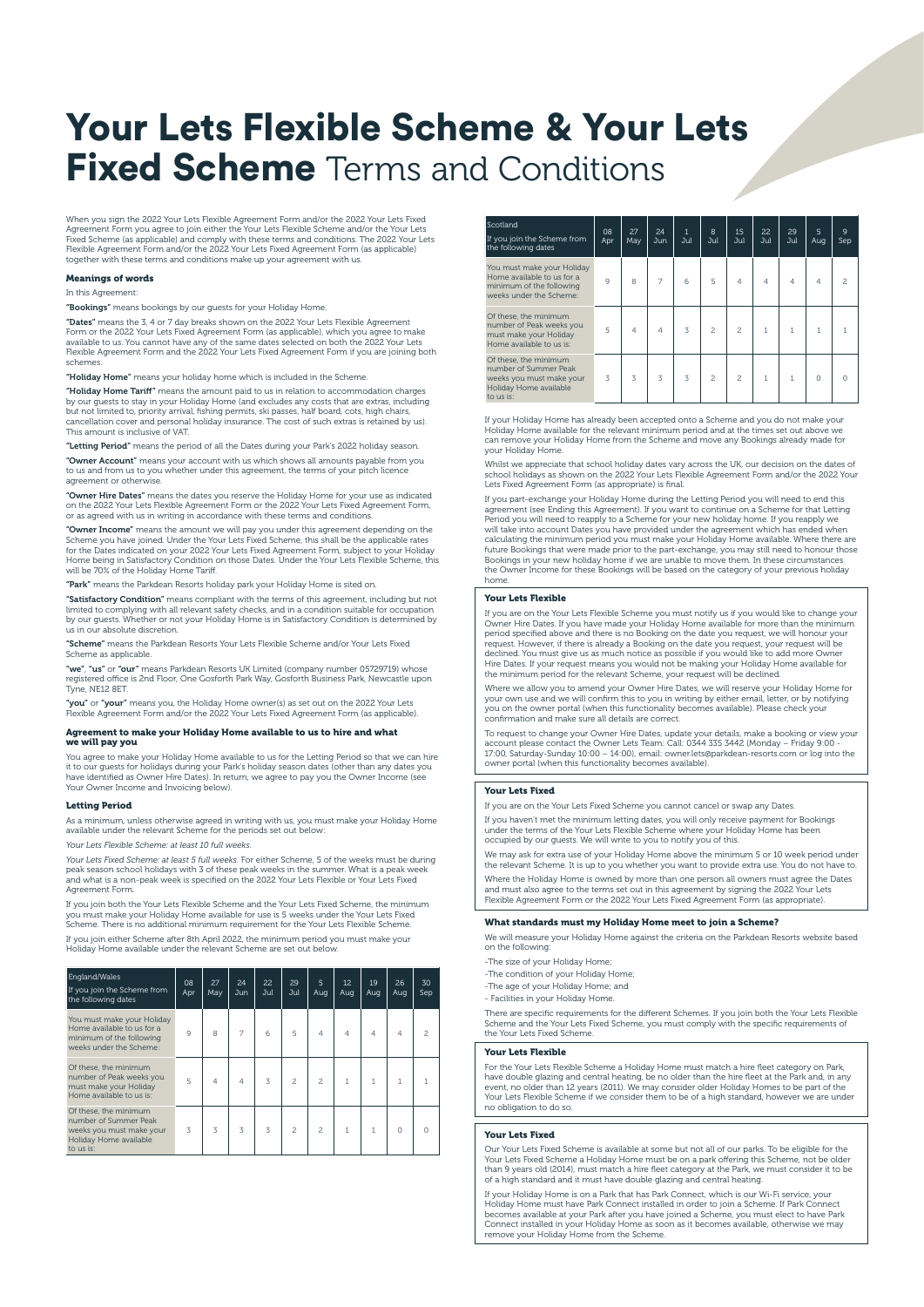# Your Lets Flexible Scheme & Your Lets **Fixed Scheme** Terms and Conditions

When you sign the 2022 Your Lets Flexible Agreement Form and/or the 2022 Your Lets Fixed Agreement Form you agree to join either the Your Lets Flexible Scheme and/or the Your Lets<br>Fixed Scheme (as applicable) and comply with these terms and conditions. The 2022 Your Lets<br>Flexible Agreement Form and/or the 2022 together with these terms and conditions make up your agreement with us.

# Meanings of words

# In this Agreement:

"Bookings" means bookings by our guests for your Holiday Home.

"Dates" means the 3, 4 or 7 day breaks shown on the 2022 Your Lets Flexible Agreement Form or the 2022 Your Lets Fixed Agreement Form (as applicable), which you agree to make available to us. You cannot have any of the same dates selected on both the 2022 Your Lets Flexible Agreement Form and the 2022 Your Lets Fixed Agreement Form if you are joining both schemes.

"Holiday Home" means your holiday home which is included in the Scheme.

"Holiday Home Tariff" means the amount paid to us in relation to accommodation charges by our guests to stay in your Holiday Home (and excludes any costs that are extras, including<br>but not limited to, priority arrival, fishing permits, ski passes, half board, cots, high chairs,<br>cancellation cover and persona

"Letting Period" means the period of all the Dates during your Park's 2022 holiday season.

**"Owner Account"** means your account with us which shows all amounts payable from you<br>to us and from us to you whether under this agreement, the terms of your pitch licence agreement or otherwise.

**"Owner Hire Dates"** means the dates you reserve the Holiday Home for your use as indicated<br>on the 2022 Your Lets Flexible Agreement Form or the 2022 Your Lets Fixed Agreement Form, or as agreed with us in writing in accordance with these terms and conditions.

**"Owner Income"** means the amount we will pay you under this agreement depending on the<br>Scheme you have joined. Under the Your Lets Fixed Scheme, this shall be the applicable rates<br>for the Dates indicated on your 2022 Your Home being in Satisfactory Condition on those Dates. Under the Your Lets Flexible Scheme, this will be 70% of the Holiday Home Tariff.

"Park" means the Parkdean Resorts holiday park your Holiday Home is sited on.

**"Satisfactory Condition"** means compliant with the terms of this agreement, including but not<br>limited to complying with all relevant safety checks, and in a condition suitable for occupation<br>by our guests. Whether or not us in our absolute discretion.

"Scheme" means the Parkdean Resorts Your Lets Flexible Scheme and/or Your Lets Fixed Scheme as applicable.

"we", "us" or "our" means Parkdean Resorts UK Limited (company number 05729719) whose registered office is 2nd Floor, One Gosforth Park Way, Gosforth Business Park, Newcastle upon and the upon the upon the upon the upon the upon the upon the upon the upon the upon the upon the upon the upon the upon the upo Tyne, NE12 8ET.

"you" or "your" means you, the Holiday Home owner(s) as set out on the 2022 Your Lets Flexible Agreement Form and/or the 2022 Your Lets Fixed Agreement Form (as applicable).

Agreement to make your Holiday Home available to us to hire and what we will pay you

You agree to make your Holiday Home available to us for the Letting Period so that we can hire it to our guests for holidays during your Park's holiday season dates (other than any dates you have identified as Owner Hire Dates). In return, we agree to pay you the Owner Income (see Your Owner Income and Invoicing below).

## Letting Period

As a minimum, unless otherwise agreed in writing with us, you must make your Holiday Home available under the relevant Scheme for the periods set out below:

*Your Lets Flexible Scheme: at least 10 full weeks.*

*Your Lets Fixed Scheme: at least 5 full weeks.* For either Scheme, 5 of the weeks must be during peak season school holidays with 3 of these peak weeks in the summer. What is a peak week and what is a non-peak week is specified on the 2022 Your Lets Flexible or Your Lets Fixed Agreement Form.

If you join both the Your Lets Flexible Scheme and the Your Lets Fixed Scheme, the minimum<br>you must make your Holiday Home available for use is 5 weeks under the Your Lets Fixed<br>Scheme. There is no additional minimum requi

If you join either Scheme after 8th April 2022, the minimum period you must make your Holiday Home available under the relevant Scheme are set out below.

| England/Wales<br>If you join the Scheme from<br>the following dates                                               | 08<br>Apr | 27<br>May | 24<br>Jun      | 22<br>Jul | 29<br>Jul      | 5<br>Aug       | 12<br>Aug      | 19<br>Aug      | 26<br>Aug | 30<br>Sep |
|-------------------------------------------------------------------------------------------------------------------|-----------|-----------|----------------|-----------|----------------|----------------|----------------|----------------|-----------|-----------|
| You must make your Holiday<br>Home available to us for a<br>minimum of the following<br>weeks under the Scheme:   | 9         | 8         | 7              | 6         | 5              | $\Delta$       | $\overline{4}$ | $\overline{A}$ | 4         | 2         |
| Of these, the minimum<br>number of Peak weeks you<br>must make your Holiday<br>Home available to us is:           | 5         | $\Delta$  | $\overline{A}$ | 3         | $\overline{a}$ | $\overline{a}$ | 1              | 1              | 1         |           |
| Of these, the minimum<br>number of Summer Peak<br>weeks you must make your<br>Holiday Home available<br>to us is: | 3         | 3         | 3              | 3         | $\overline{c}$ | $\mathfrak{p}$ | $\mathbf{1}$   | $\overline{1}$ | $\Omega$  | $\Omega$  |

| Scotland<br>If you join the Scheme from<br>the following dates                                                    | 08<br>Apr | 27<br>May | 24<br>Jun | $\mathbf{1}$<br>Jul | 8<br>Jul       | 15<br>Jul      | 22<br>Jul | 29<br>Jul      | $\overline{5}$<br>Aug | 9<br>Sep |
|-------------------------------------------------------------------------------------------------------------------|-----------|-----------|-----------|---------------------|----------------|----------------|-----------|----------------|-----------------------|----------|
| You must make your Holiday<br>Home available to us for a<br>minimum of the following<br>weeks under the Scheme:   | 9         | 8         |           | 6                   | 5              | $\overline{A}$ | $\Delta$  | $\Delta$       | $\Delta$              | 2        |
| Of these, the minimum<br>number of Peak weeks you<br>must make your Holiday<br>Home available to us is:           | 5         | $\Delta$  | $\Delta$  | $\mathbf{z}$        | $\overline{c}$ | $\overline{a}$ | 1         | $\mathbf{1}$   | 1                     |          |
| Of these, the minimum<br>number of Summer Peak<br>weeks you must make your<br>Holiday Home available<br>to us is: | 3         | 3         | 3         | 3                   | $\overline{c}$ | $\overline{a}$ | 1         | $\overline{1}$ | $\Omega$              |          |

If your Holiday Home has already been accepted onto a Scheme and you do not make your Holiday Home available for the relevant minimum period and at the times set out above we can remove your Holiday Home from the Scheme and move any Bookings already made for your Holiday Home.

Whilst we appreciate that school holiday dates vary across the UK, our decision on the dates of<br>school holidays as shown on the 2022 Your Lets Flexible Agreement Form and/or the 2022 Your<br>Lets Fixed Agreement Form (as appr

If you part-exchange your Holiday Home during the Letting Period you will need to end this<br>agreement (see Ending this Agreement). If you want to continue on a Scheme for that Letting<br>Period you will need to reapply to a Sc will take into account Dates you have provided under the agreement which has ended when<br>calculating the minimum period you must make your Holiday Home available. Where there are<br>future Bookings that were made prior to the Bookings in your new holiday home if we are unable to move them. In these circumstances the Owner Income for these Bookings will be based on the category of your previous holiday home.

#### Your Lets Flexible

If you are on the Your Lets Flexible Scheme you must notify us if you would like to change your Owner Hire Dates. If you have made your Holiday Home available for more than the minimum period specified above and there is no Booking on the date you request, we will honour your request. However, if there is already a Booking on the date you request, your request will be declined. You must give us as much notice as possible if you would like to add more Owner Hire Dates. If your request means you would not be making your Holiday Home available for the minimum period for the relevant Scheme, your request will be declined.

Where we allow you to amend your Owner Hire Dates, we will reserve your Holiday Home for your own use and we will confirm this to you in writing by either email, letter, or by notifying you on the owner portal (when this functionality becomes available). Please check your confirmation and make sure all details are correct.

To request to change your Owner Hire Dates, update your details, make a booking or view your<br>account please contact the Owner Lets Team: Call: 0344 335 3442 (Monday – Friday 9:00 -<br>17:00, Saturday-Sunday 10:00 – 14:00), em owner portal (when this functionality becomes available).

#### Your Lets Fixed

If you are on the Your Lets Fixed Scheme you cannot cancel or swap any Dates.

If you haven't met the minimum letting dates, you will only receive payment for Bookings under the terms of the Your Lets Flexible Scheme where your Holiday Home has been occupied by our guests. We will write to you to notify you of this.

We may ask for extra use of your Holiday Home above the minimum 5 or 10 week period under the relevant Scheme. It is up to you whether you want to provide extra use. You do not have to. Where the Holiday Home is owned by more than one person all owners must agree the Dates and must also agree to the terms set out in this agreement by signing the 2022 Your Lets Flexible Agreement Form or the 2022 Your Lets Fixed Agreement Form (as appropriate).

### What standards must my Holiday Home meet to join a Scheme?

We will measure your Holiday Home against the criteria on the Parkdean Resorts website based on the following:

-The size of your Holiday Home;

- -The condition of your Holiday Home;
- -The age of your Holiday Home; and

- Facilities in your Holiday Home.

There are specific requirements for the different Schemes. If you join both the Your Lets Flexible Scheme and the Your Lets Fixed Scheme, you must comply with the specific requirements of the Your Lets Fixed Scheme.

#### Your Lets Flexible

For the Your Lets Flexible Scheme a Holiday Home must match a hire fleet category on Park, have double glazing and central heating, be no older than the hire fleet at the Park and, in any event, no older than 12 years (2011). We may consider older Holiday Homes to be part of the Your Lets Flexible Scheme if we consider them to be of a high standard, however we are under no obligation to do so.

#### Your Lets Fixed

Our Your Lets Fixed Scheme is available at some but not all of our parks. To be eligible for the Your Lets Fixed Scheme a Holiday Home must be on a park offering this Scheme, not be older than 9 years old (2014), must match a hire fleet category at the Park, we must consider it to be of a high standard and it must have double glazing and central heating.

If your Holiday Home is on a Park that has Park Connect, which is our Wi-Fi service, your Holiday Home must have Park Connect installed in order to join a Scheme. If Park Connect becomes available at your Park after you have joined a Scheme, you must elect to have Park<br>Connect installed in your Holiday Home as soon as it becomes available, otherwise we may<br>remove your Holiday Home from the Scheme.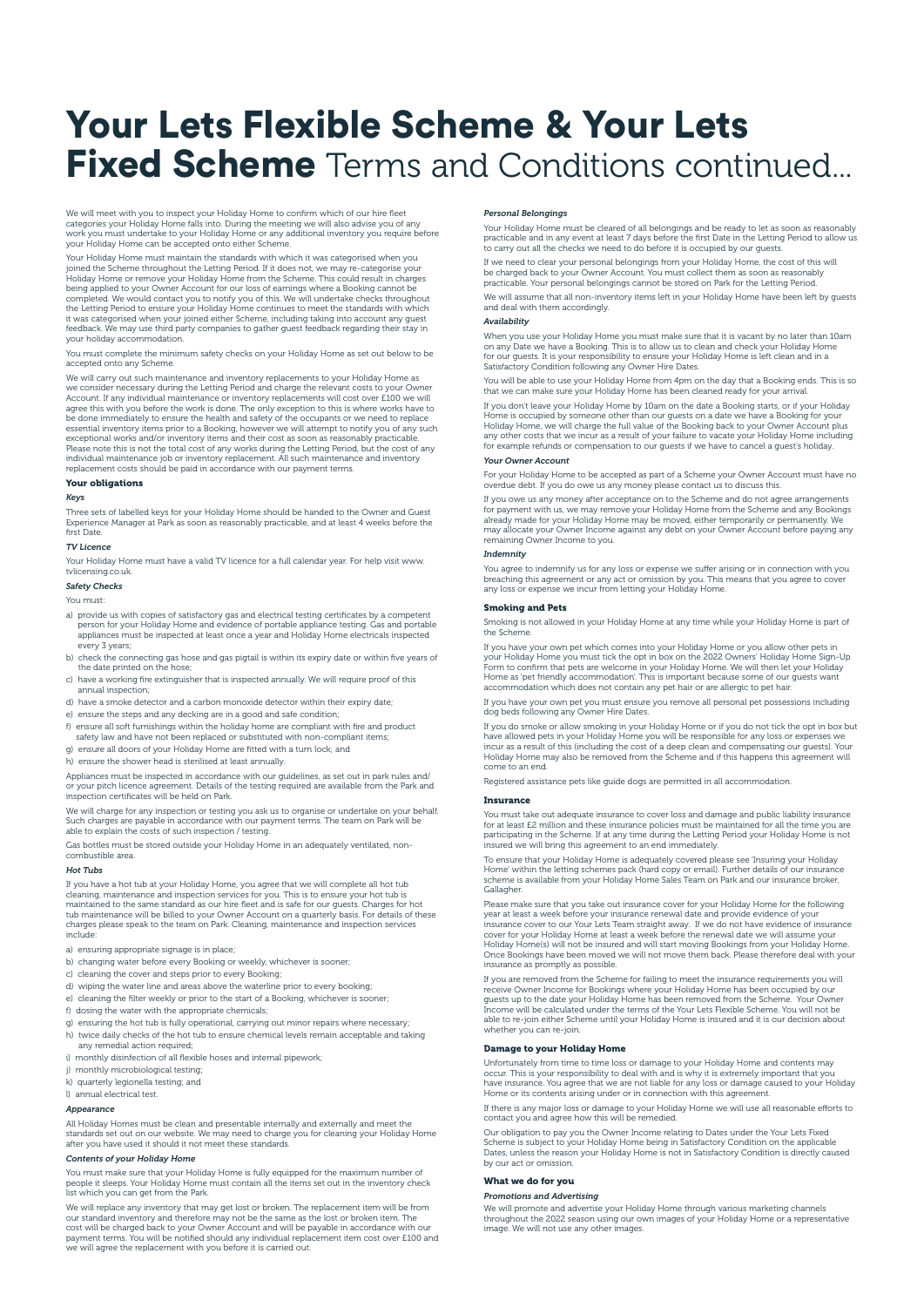# Your Lets Flexible Scheme & Your Lets **Fixed Scheme** Terms and Conditions continued...

We will meet with you to inspect your Holiday Home to confirm which of our hire fleet categories your Holiday Home falls into. During the meeting we will also advise you of any work you must undertake to your Holiday Home or any additional inventory you require before your Holiday Home can be accepted onto either Scheme.

Your Holiday Home must maintain the standards with which it was categorised when you joined the Scheme throughout the Letting Period. If it does not, we may re-categorise your<br>Holiday Home or remove your Holiday Home from the Scheme. This could result in charges<br>being applied to your Owner Account for our completed. We would contact you to notify you of this. We will undertake checks throughout<br>the Letting Period to ensure your Holiday Home continues to meet the standards with which<br>it was categorised when your joined eithe your holiday accommodation.

You must complete the minimum safety checks on your Holiday Home as set out below to be accepted onto any Scheme.

We will carry out such maintenance and inventory replacements to your Holiday Home as we consider necessary during the Letting Period and charge the relevant costs to your Owner Account. If any individual maintenance or inventory replacements will cost over £100 we will<br>agree this with you before the work is done. The only exception to this is where works have to<br>be done immediately to ensure the essential inventory items prior to a Booking, however we will attempt to notify you of any such<br>exceptional works and/or inventory items and their cost as soon as reasonably practicable.<br>Please note this is not the total c

## Your obligations

## *Keys*

Three sets of labelled keys for your Holiday Home should be handed to the Owner and Guest Experience Manager at Park as soon as reasonably practicable, and at least 4 weeks before the first Date.

## *TV Licence*

Your Holiday Home must have a valid TV licence for a full calendar year. For help visit www. tvlicensing.co.uk.

## *Safety Checks*

You must:

- a) provide us with copies of satisfactory gas and electrical testing certificates by a competent person for your Holiday Home and evidence of portable appliance testing. Gas and portable appliances must be inspected at least once a year and Holiday Home electricals inspected every 3 years;
- b) check the connecting gas hose and gas pigtail is within its expiry date or within five years of the date printed on the hose;
- c) have a working fire extinguisher that is inspected annually. We will require proof of this annual inspection;
- d) have a smoke detector and a carbon monoxide detector within their expiry date;
- e) ensure the steps and any decking are in a good and safe condition;
- f) ensure all soft furnishings within the holiday home are compliant with fire and product safety law and have not been replaced or substituted with non-compliant items;
- g) ensure all doors of your Holiday Home are fitted with a turn lock; and
- h) ensure the shower head is sterilised at least annually.

Appliances must be inspected in accordance with our guidelines, as set out in park rules and/ or your pitch licence agreement. Details of the testing required are available from the Park and inspection certificates will be held on Park.

We will charge for any inspection or testing you ask us to organise or undertake on your behalf. Such charges are payable in accordance with our payment terms. The team on Park will be able to explain the costs of such inspection / testing.

Gas bottles must be stored outside your Holiday Home in an adequately ventilated, noncombustible area.

#### *Hot Tubs*

If you have a hot tub at your Holiday Home, you agree that we will complete all hot tub cleaning, maintenance and inspection services for you. This is to ensure your hot tub is maintained to the same standard as our hire fleet and is safe for our guests. Charges for hot<br>tub maintenance will be billed to your Owner Account on a quarterly basis. For details of these<br>charges please speak to the team include:

- a) ensuring appropriate signage is in place.
- b) changing water before every Booking or weekly, whichever is sooner;
- c) cleaning the cover and steps prior to every Booking;
- d) wiping the water line and areas above the waterline prior to every booking;
- e) cleaning the filter weekly or prior to the start of a Booking, whichever is sooner;
- f) dosing the water with the appropriate chemicals;
- g) ensuring the hot tub is fully operational, carrying out minor repairs where necessary;
- h) twice daily checks of the hot tub to ensure chemical levels remain acceptable and taking any remedial action required;
- i) monthly disinfection of all flexible hoses and internal pipework;
- j) monthly microbiological testing;
- k) quarterly legionella testing; and l) annual electrical test.
- 

## *Appearance*

All Holiday Homes must be clean and presentable internally and externally and meet the standards set out on our website. We may need to charge you for cleaning your Holiday Home after you have used it should it not meet these standards.

#### *Contents of your Holiday Home*

You must make sure that your Holiday Home is fully equipped for the maximum number of people it sleeps. Your Holiday Home must contain all the items set out in the inventory check list which you can get from the Park.

We will replace any inventory that may get lost or broken. The replacement item will be from our standard inventory and therefore may not be the same as the lost or broken item. The<br>cost will be charged back to your Owner Account and will be payable in accordance with our<br>payment terms. You will be notified should we will agree the replacement with you before it is carried out.

## *Personal Belongings*

Your Holiday Home must be cleared of all belongings and be ready to let as soon as reasonably practicable and in any event at least 7 days before the first Date in the Letting Period to allow us to carry out all the checks we need to do before it is occupied by our guests.

If we need to clear your personal belongings from your Holiday Home, the cost of this will be charged back to your Owner Account. You must collect them as soon as reasonably practicable. Your personal belongings cannot be stored on Park for the Letting Period.

We will assume that all non-inventory items left in your Holiday Home have been left by guests and deal with them accordingly.

# *Availability*

When you use your Holiday Home you must make sure that it is vacant by no later than 10am<br>on any Date we have a Booking. This is to allow us to clean and check your Holiday Home<br>for our guests. It is your responsibility to

You will be able to use your Holiday Home from 4pm on the day that a Booking ends. This is so that we can make sure your Holiday Home has been cleaned ready for your an

If you don't leave your Holiday Home by 10am on the date a Booking starts, or if your Holiday Home is occupied by someone other than our guests on a date we have a Booking for your<br>Holiday Home, we will charge the full value of the Booking back to your Owner Account plus<br>any other costs that we incur as a result of for example refunds or compensation to our guests if we have to cancel a guest's holiday.

#### *Your Owner Account*

For your Holiday Home to be accepted as part of a Scheme your Owner Account must have no overdue debt. If you do owe us any money please contact us to discuss this.

If you owe us any money after acceptance on to the Scheme and do not agree arrangements for payment with us, we may remove your Holiday Home from the Scheme and any Bookings already made for your Holiday Home may be moved, either temporarily or permanently. We may allocate your Owner Income against any debt on your Owner Account before paying any remaining Owner Income to you.

## *Indemnity*

You agree to indemnify us for any loss or expense we suffer arising or in connection with you breaching this agreement or any act or omission by you. This means that you agree to cover any loss or expense we incur from letting your Holiday Home.

#### Smoking and Pets

Smoking is not allowed in your Holiday Home at any time while your Holiday Home is part of the Scheme.

If you have your own pet which comes into your Holiday Home or you allow other pets in<br>your Holiday Home you must tick the opt in box on the 2022 Owners' Holiday Home Sign-Up<br>Form to confirm that pets are welcome in your H Home as 'pet friendly accommodation'. This is important because some of our guests want accommodation which does not contain any pet hair or are allergic to pet hair.

If you have your own pet you must ensure you remove all personal pet possessions including dog beds following any Owner Hire Dates.

If you do smoke or allow smoking in your Holiday Home or if you do not tick the opt in box but<br>have allowed pets in your Holiday Home you will be responsible for any loss or expenses we<br>incur as a result of this (including Holiday Home may also be removed from the Scheme and if this happens this agreement will come to an end.

Registered assistance pets like guide dogs are permitted in all accommodation.

#### Insurance

You must take out adequate insurance to cover loss and damage and public liability insurance for at least £2 million and these insurance policies must be maintained for all the time you are participating in the Scheme. If at any time during the Letting Period your Holiday Home is not insured we will bring this agreement to an end immediately.

To ensure that your Holiday Home is adequately covered please see 'Insuring your Holiday Home' within the letting schemes pack (hard copy or email). Further details of our insurance scheme is available from your Holiday Home Sales Team on Park and our insurance broker, Gallagher.

Please make sure that you take out insurance cover for your Holiday Home for the following<br>year at least a week before your insurance renewal date and provide evidence of your<br>insurance cover to our Your Lets Team straight cover for your Holiday Home at least a week before the renewal date we will assume your<br>Holiday Home(s) will not be insured and will start moving Bookings from your Holiday Home.<br>Once Bookings have been moved we will not m insurance as promptly as possible.

If you are removed from the Scheme for failing to meet the insurance requirements you will<br>receive Owner Income for Bookings where your Holiday Home has been occupied by our<br>guests up to the date your Holiday Home has been Income will be calculated under the terms of the Your Lets Flexible Scheme. You will not be able to re-join either Scheme until your Holiday Home is insured and it is our decision about whether you can re-join.

## Damage to your Holiday Home

Unfortunately from time to time loss or damage to your Holiday Home and contents may occur. This is your responsibility to deal with and is why it is extremely important that you<br>have insurance. You agree that we are not liable for any loss or damage caused to your Holiday<br>Home or its contents arising unde

If there is any major loss or damage to your Holiday Home we will use all reasonable efforts to contact you and agree how this will be remedied.

Our obligation to pay you the Owner Income relating to Dates under the Your Lets Fixed Scheme is subject to your Holiday Home being in Satisfactory Condition on the applicable Dates, unless the reason your Holiday Home is not in Satisfactory Condition is directly caused by our act or omission.

## What we do for you

## *Promotions and Advertising*

We will promote and advertise your Holiday Home through various marketing channels throughout the 2022 season using our own images of your Holiday Home or a representative image. We will not use any other images.